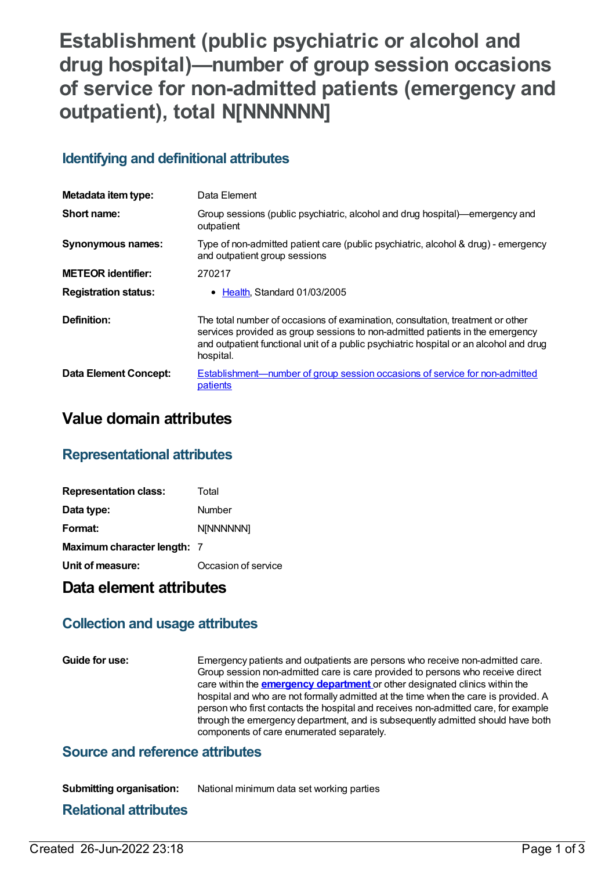# **Establishment (public psychiatric or alcohol and drug hospital)—number of group session occasions of service for non-admitted patients (emergency and outpatient), total N[NNNNNN]**

# **Identifying and definitional attributes**

| Metadata item type:         | Data Element                                                                                                                                                                                                                                                           |  |
|-----------------------------|------------------------------------------------------------------------------------------------------------------------------------------------------------------------------------------------------------------------------------------------------------------------|--|
| Short name:                 | Group sessions (public psychiatric, alcohol and drug hospital)—emergency and<br>outpatient                                                                                                                                                                             |  |
| <b>Synonymous names:</b>    | Type of non-admitted patient care (public psychiatric, alcohol & drug) - emergency<br>and outpatient group sessions                                                                                                                                                    |  |
| <b>METEOR identifier:</b>   | 270217                                                                                                                                                                                                                                                                 |  |
| <b>Registration status:</b> | Health, Standard 01/03/2005                                                                                                                                                                                                                                            |  |
| Definition:                 | The total number of occasions of examination, consultation, treatment or other<br>services provided as group sessions to non-admitted patients in the emergency<br>and outpatient functional unit of a public psychiatric hospital or an alcohol and drug<br>hospital. |  |
| Data Element Concept:       | <b>Establishment—number of group session occasions of service for non-admitted</b><br>patients                                                                                                                                                                         |  |

# **Value domain attributes**

## **Representational attributes**

| <b>Representation class:</b> | Total               |
|------------------------------|---------------------|
| Data type:                   | Number              |
| Format:                      | <b>N[NNNNNN]</b>    |
| Maximum character length: 7  |                     |
| Unit of measure:             | Occasion of service |

## **Data element attributes**

## **Collection and usage attributes**

**Guide for use:** Emergency patients and outpatients are persons who receive non-admitted care. Group session non-admitted care is care provided to persons who receive direct care within the **emergency [department](https://meteor.aihw.gov.au/content/327158)** or other designated clinics within the hospital and who are not formally admitted at the time when the care is provided. A person who first contacts the hospital and receives non-admitted care, for example through the emergency department, and is subsequently admitted should have both components of care enumerated separately.

## **Source and reference attributes**

| <b>Submitting organisation:</b> | National minimum data set working parties |
|---------------------------------|-------------------------------------------|
|---------------------------------|-------------------------------------------|

#### **Relational attributes**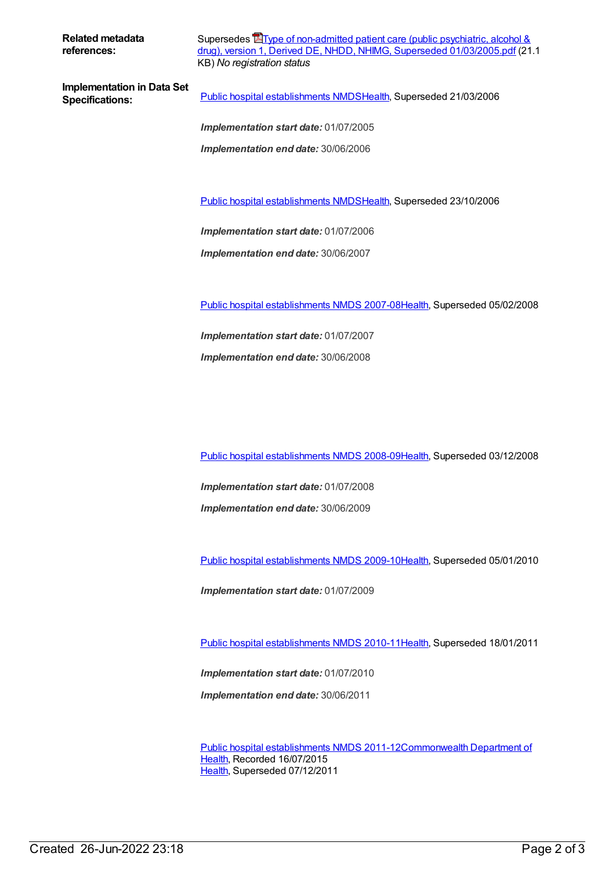**Related metadata references:**

Supersedes **The office of [non-admitted](https://meteor.aihw.gov.au/content/284780) patient care (public psychiatric, alcohol &** drug), version 1, Derived DE, NHDD, NHIMG, Superseded 01/03/2005.pdf (21.1 KB) *No registration status*

**Implementation in Data Set**

**Specifications:** Public hospital [establishments](https://meteor.aihw.gov.au/content/273047) NMDS[Health](https://meteor.aihw.gov.au/RegistrationAuthority/12), Superseded 21/03/2006

*Implementation start date:* 01/07/2005

*Implementation end date:* 30/06/2006

Public hospital [establishments](https://meteor.aihw.gov.au/content/334285) NMDS[Health](https://meteor.aihw.gov.au/RegistrationAuthority/12), Superseded 23/10/2006

*Implementation start date:* 01/07/2006

*Implementation end date:* 30/06/2007

Public hospital [establishments](https://meteor.aihw.gov.au/content/345139) NMDS 2007-08[Health](https://meteor.aihw.gov.au/RegistrationAuthority/12), Superseded 05/02/2008

*Implementation start date:* 01/07/2007 *Implementation end date:* 30/06/2008

Public hospital [establishments](https://meteor.aihw.gov.au/content/362302) NMDS 2008-09[Health](https://meteor.aihw.gov.au/RegistrationAuthority/12), Superseded 03/12/2008

*Implementation start date:* 01/07/2008

*Implementation end date:* 30/06/2009

Public hospital [establishments](https://meteor.aihw.gov.au/content/374924) NMDS 2009-10[Health](https://meteor.aihw.gov.au/RegistrationAuthority/12), Superseded 05/01/2010

*Implementation start date:* 01/07/2009

Public hospital [establishments](https://meteor.aihw.gov.au/content/386794) NMDS 2010-11[Health](https://meteor.aihw.gov.au/RegistrationAuthority/12), Superseded 18/01/2011

*Implementation start date:* 01/07/2010

*Implementation end date:* 30/06/2011

Public hospital [establishments](https://meteor.aihw.gov.au/content/426900) NMDS [2011-12Commonwealth](https://meteor.aihw.gov.au/RegistrationAuthority/10) Department of Health, Recorded 16/07/2015 [Health](https://meteor.aihw.gov.au/RegistrationAuthority/12), Superseded 07/12/2011